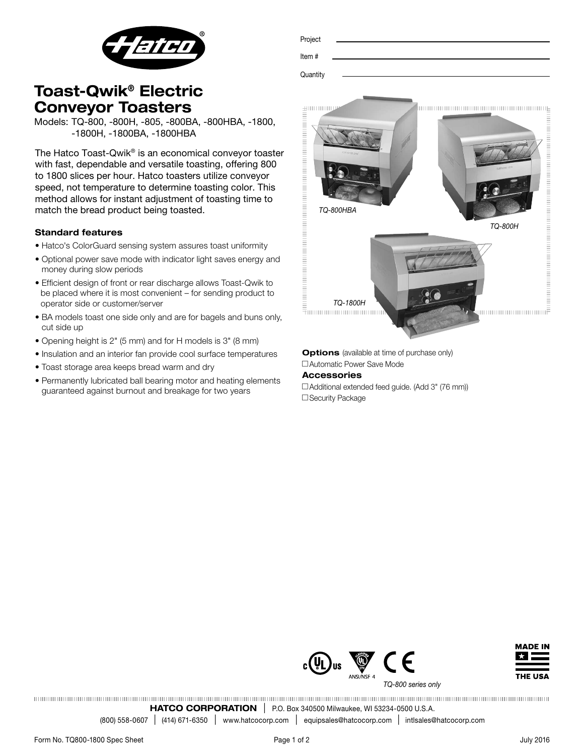

| Project  |  |  |  |
|----------|--|--|--|
|          |  |  |  |
| Item#    |  |  |  |
|          |  |  |  |
| Quantity |  |  |  |
|          |  |  |  |
|          |  |  |  |

# Toast-Qwik® Electric Conveyor Toasters

Models: TQ-800, -800H, -805, -800BA, -800HBA, -1800, -1800H, -1800BA, -1800HBA

The Hatco Toast-Qwik® is an economical conveyor toaster with fast, dependable and versatile toasting, offering 800 to 1800 slices per hour. Hatco toasters utilize conveyor speed, not temperature to determine toasting color. This method allows for instant adjustment of toasting time to match the bread product being toasted.

## Standard features

- Hatco's ColorGuard sensing system assures toast uniformity
- Optional power save mode with indicator light saves energy and money during slow periods
- Efficient design of front or rear discharge allows Toast-Qwik to be placed where it is most convenient – for sending product to operator side or customer/server
- BA models toast one side only and are for bagels and buns only, cut side up
- Opening height is 2" (5 mm) and for H models is 3" (8 mm)
- Insulation and an interior fan provide cool surface temperatures
- Toast storage area keeps bread warm and dry
- Permanently lubricated ball bearing motor and heating elements guaranteed against burnout and breakage for two years



**Options** (available at time of purchase only) □ Automatic Power Save Mode

### Accessories

 $\Box$  Additional extended feed guide. (Add 3" (76 mm)) □ Security Package





*TQ-800 series only*

HATCO CORPORATION | P.O. Box 340500 Milwaukee, WI 53234-0500 U.S.A.

(800) 558-0607 l (414) 671-6350 <sup>l</sup> www.hatcocorp.com <sup>l</sup> equipsales@hatcocorp.com l intlsales@hatcocorp.com